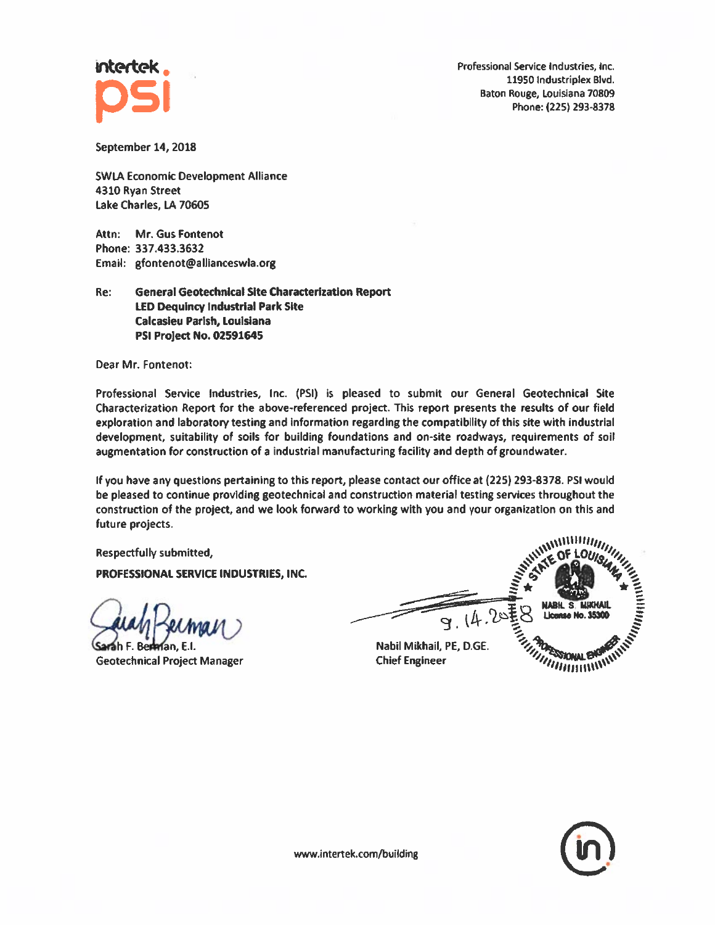

Professional Service Industries, Inc. 11950 Industriplex Blvd. Baton Rouge, Louisiana 70809 Phone: (225) 293-8378

September 14, 2018

**SWLA Economic Development Alliance** 4310 Rvan Street Lake Charles, LA 70605

Attn: Mr. Gus Fontenot Phone: 337.433.3632 Email: gfontenot@allianceswla.org

# **Dequincy Industrial Park Preliminary Geotechnical Engineering Report**

**General Geotechnical Site Characterization Report** Re: **LED Dequincy Industrial Park Site Calcasieu Parish, Louisiana PSI Project No. 02591645** 

**Dear Mr. Fontenot:** 

Professional Service Industries, Inc. (PSI) is pleased to submit our General Geotechnical Site Characterization Report for the above-referenced project. This report presents the results of our field exploration and laboratory testing and information regarding the compatibility of this site with industrial development, suitability of soils for building foundations and on-site roadways, requirements of soil augmentation for construction of a industrial manufacturing facility and depth of groundwater.

If you have any questions pertaining to this report, please contact our office at (225) 293-8378. PSI would be pleased to continue providing geotechnical and construction material testing services throughout the construction of the project, and we look forward to working with you and your organization on this and future projects.

**Respectfully submitted,** PROFESSIONAL SERVICE INDUSTRIES, INC.

**Geotechnical Project Manager** 

**WWWWWWW** Nabil Mikhail, PE, D.GE. **SAMARE STONAL BRITIS Chief Engineer** 

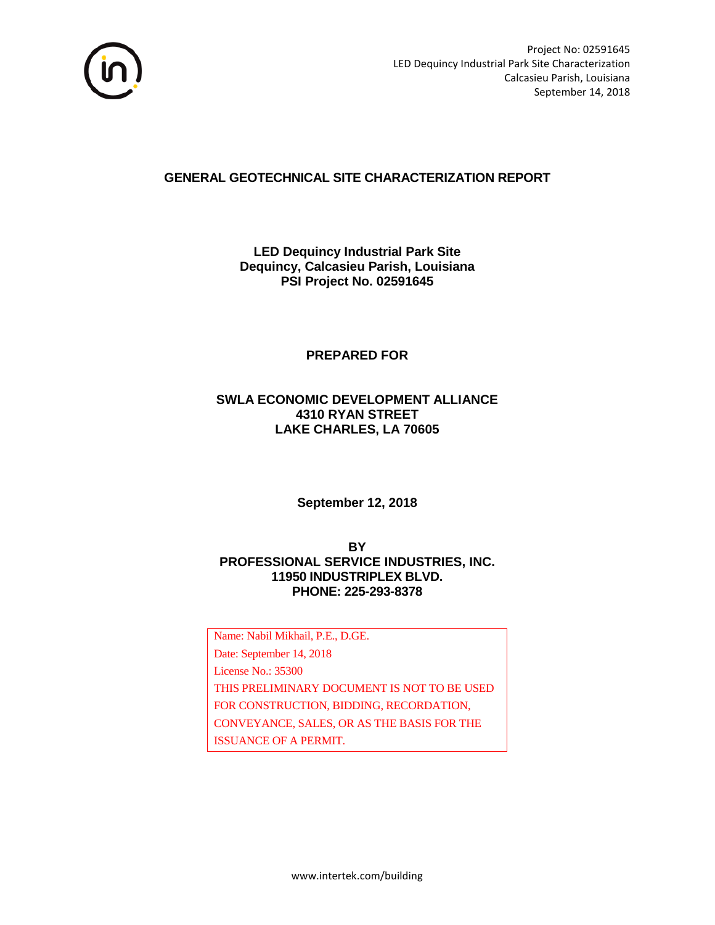

Project No: 02591645 LED Dequincy Industrial Park Site Characterization Calcasieu Parish, Louisiana September 14, 2018

### **GENERAL GEOTECHNICAL SITE CHARACTERIZATION REPORT**

### **LED Dequincy Industrial Park Site Dequincy, Calcasieu Parish, Louisiana PSI Project No. 02591645**

### **PREPARED FOR**

### **SWLA ECONOMIC DEVELOPMENT ALLIANCE 4310 RYAN STREET LAKE CHARLES, LA 70605**

**September 12, 2018**

### **BY PROFESSIONAL SERVICE INDUSTRIES, INC. 11950 INDUSTRIPLEX BLVD. PHONE: 225-293-8378**

Name: Nabil Mikhail, P.E., D.GE. Date: September 14, 2018 License No.: 35300 THIS PRELIMINARY DOCUMENT IS NOT TO BE USED FOR CONSTRUCTION, BIDDING, RECORDATION, CONVEYANCE, SALES, OR AS THE BASIS FOR THE ISSUANCE OF A PERMIT.

www.intertek.com/building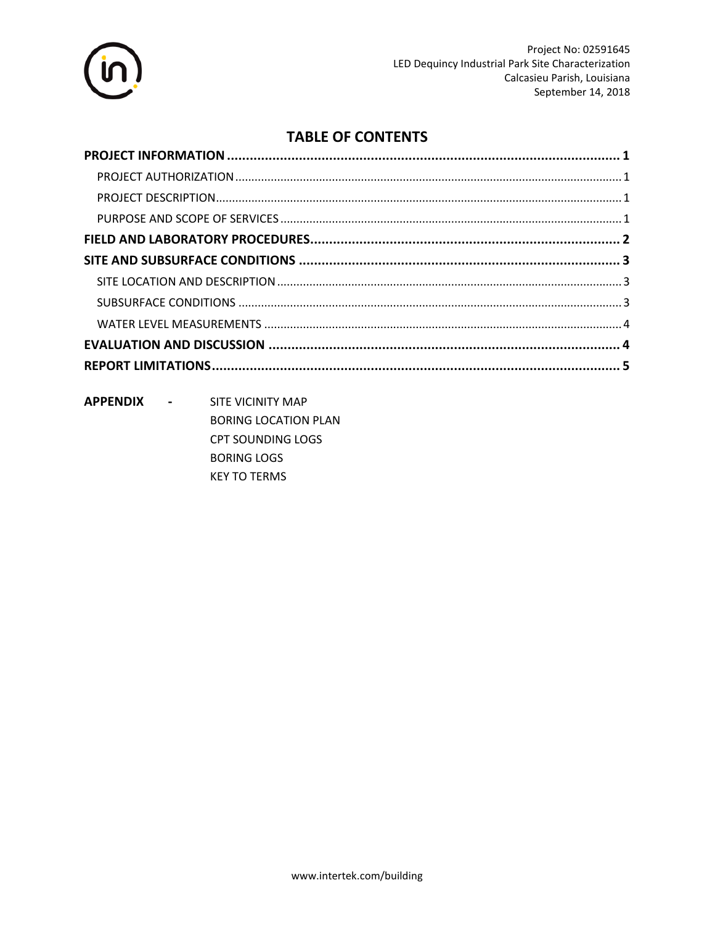

### **TABLE OF CONTENTS**

**APPENDIX** SITE VICINITY MAP  $\blacksquare$ **BORING LOCATION PLAN CPT SOUNDING LOGS BORING LOGS KEY TO TERMS**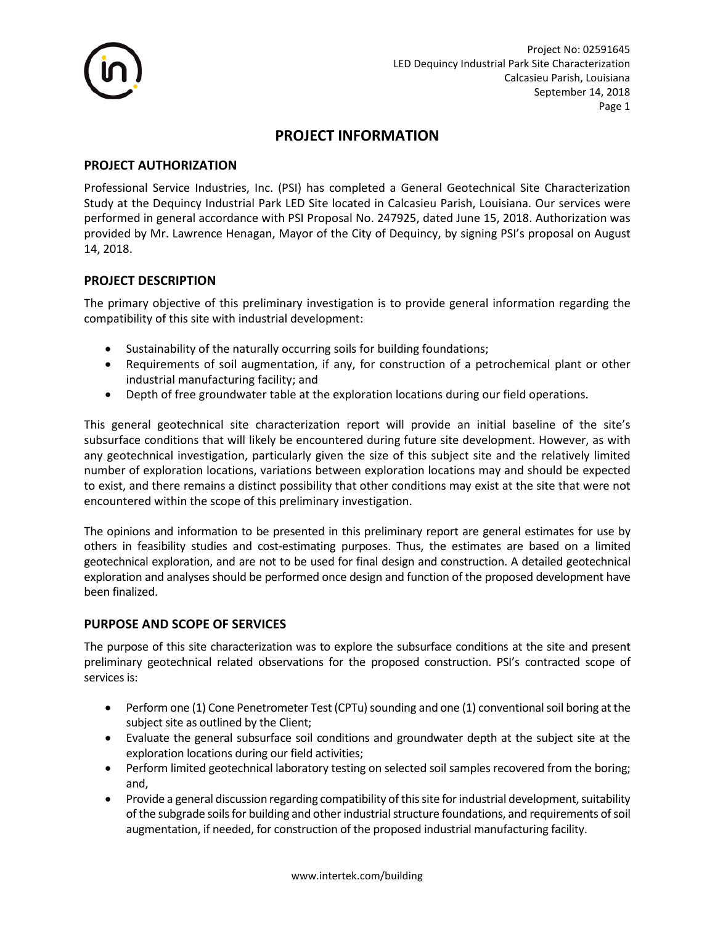

### **PROJECT INFORMATION**

#### <span id="page-3-1"></span><span id="page-3-0"></span>**PROJECT AUTHORIZATION**

Professional Service Industries, Inc. (PSI) has completed a General Geotechnical Site Characterization Study at the Dequincy Industrial Park LED Site located in Calcasieu Parish, Louisiana. Our services were performed in general accordance with PSI Proposal No. 247925, dated June 15, 2018. Authorization was provided by Mr. Lawrence Henagan, Mayor of the City of Dequincy, by signing PSI's proposal on August 14, 2018.

#### <span id="page-3-2"></span>**PROJECT DESCRIPTION**

The primary objective of this preliminary investigation is to provide general information regarding the compatibility of this site with industrial development:

- Sustainability of the naturally occurring soils for building foundations;
- Requirements of soil augmentation, if any, for construction of a petrochemical plant or other industrial manufacturing facility; and
- Depth of free groundwater table at the exploration locations during our field operations.

This general geotechnical site characterization report will provide an initial baseline of the site's subsurface conditions that will likely be encountered during future site development. However, as with any geotechnical investigation, particularly given the size of this subject site and the relatively limited number of exploration locations, variations between exploration locations may and should be expected to exist, and there remains a distinct possibility that other conditions may exist at the site that were not encountered within the scope of this preliminary investigation.

The opinions and information to be presented in this preliminary report are general estimates for use by others in feasibility studies and cost-estimating purposes. Thus, the estimates are based on a limited geotechnical exploration, and are not to be used for final design and construction. A detailed geotechnical exploration and analyses should be performed once design and function of the proposed development have been finalized.

### <span id="page-3-3"></span>**PURPOSE AND SCOPE OF SERVICES**

The purpose of this site characterization was to explore the subsurface conditions at the site and present preliminary geotechnical related observations for the proposed construction. PSI's contracted scope of services is:

- Perform one (1) Cone Penetrometer Test (CPTu) sounding and one (1) conventional soil boring at the subject site as outlined by the Client;
- Evaluate the general subsurface soil conditions and groundwater depth at the subject site at the exploration locations during our field activities;
- Perform limited geotechnical laboratory testing on selected soil samples recovered from the boring; and,
- Provide a general discussion regarding compatibility of this site for industrial development, suitability of the subgrade soils for building and other industrial structure foundations, and requirements of soil augmentation, if needed, for construction of the proposed industrial manufacturing facility.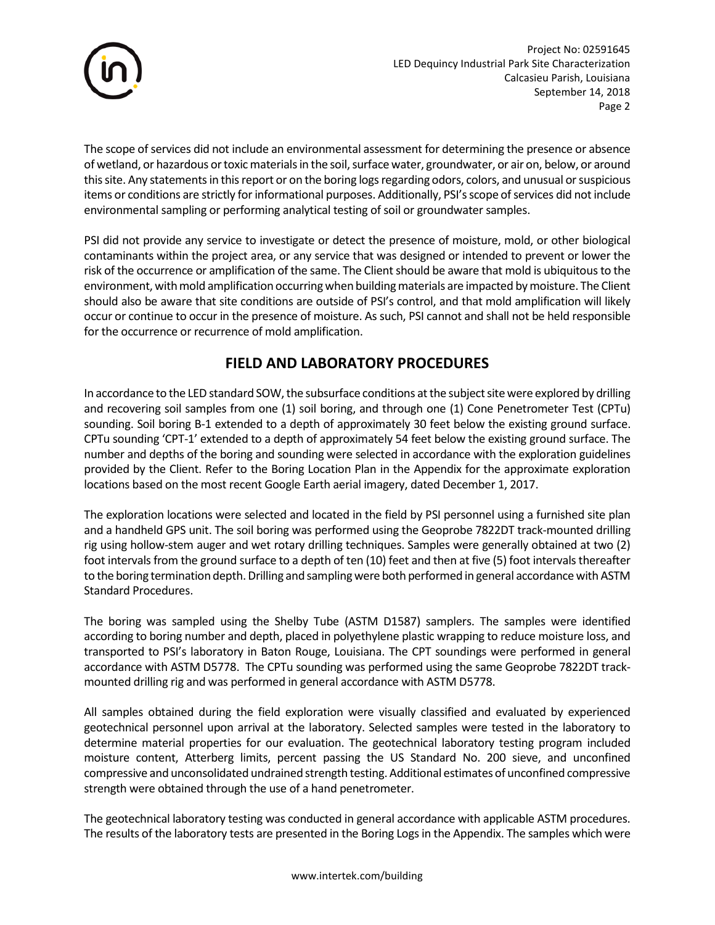

The scope of services did not include an environmental assessment for determining the presence or absence of wetland, or hazardous or toxic materials in the soil, surface water, groundwater, or air on, below, or around this site. Any statements in this report or on the boring logs regarding odors, colors, and unusual or suspicious items or conditions are strictly for informational purposes. Additionally, PSI's scope of services did not include environmental sampling or performing analytical testing of soil or groundwater samples.

PSI did not provide any service to investigate or detect the presence of moisture, mold, or other biological contaminants within the project area, or any service that was designed or intended to prevent or lower the risk of the occurrence or amplification of the same. The Client should be aware that mold is ubiquitous to the environment, with mold amplification occurring when building materials are impacted by moisture. The Client should also be aware that site conditions are outside of PSI's control, and that mold amplification will likely occur or continue to occur in the presence of moisture. As such, PSI cannot and shall not be held responsible for the occurrence or recurrence of mold amplification.

### **FIELD AND LABORATORY PROCEDURES**

<span id="page-4-0"></span>In accordance to the LED standard SOW, the subsurface conditions at the subject site were explored by drilling and recovering soil samples from one (1) soil boring, and through one (1) Cone Penetrometer Test (CPTu) sounding. Soil boring B-1 extended to a depth of approximately 30 feet below the existing ground surface. CPTu sounding 'CPT-1' extended to a depth of approximately 54 feet below the existing ground surface. The number and depths of the boring and sounding were selected in accordance with the exploration guidelines provided by the Client. Refer to the Boring Location Plan in the Appendix for the approximate exploration locations based on the most recent Google Earth aerial imagery, dated December 1, 2017.

The exploration locations were selected and located in the field by PSI personnel using a furnished site plan and a handheld GPS unit. The soil boring was performed using the Geoprobe 7822DT track-mounted drilling rig using hollow-stem auger and wet rotary drilling techniques. Samples were generally obtained at two (2) foot intervals from the ground surface to a depth of ten (10) feet and then at five (5) foot intervals thereafter to the boring termination depth. Drilling and sampling were both performed in general accordance with ASTM Standard Procedures.

The boring was sampled using the Shelby Tube (ASTM D1587) samplers. The samples were identified according to boring number and depth, placed in polyethylene plastic wrapping to reduce moisture loss, and transported to PSI's laboratory in Baton Rouge, Louisiana. The CPT soundings were performed in general accordance with ASTM D5778. The CPTu sounding was performed using the same Geoprobe 7822DT trackmounted drilling rig and was performed in general accordance with ASTM D5778.

All samples obtained during the field exploration were visually classified and evaluated by experienced geotechnical personnel upon arrival at the laboratory. Selected samples were tested in the laboratory to determine material properties for our evaluation. The geotechnical laboratory testing program included moisture content, Atterberg limits, percent passing the US Standard No. 200 sieve, and unconfined compressive and unconsolidated undrained strength testing. Additional estimates of unconfined compressive strength were obtained through the use of a hand penetrometer.

The geotechnical laboratory testing was conducted in general accordance with applicable ASTM procedures. The results of the laboratory tests are presented in the Boring Logs in the Appendix. The samples which were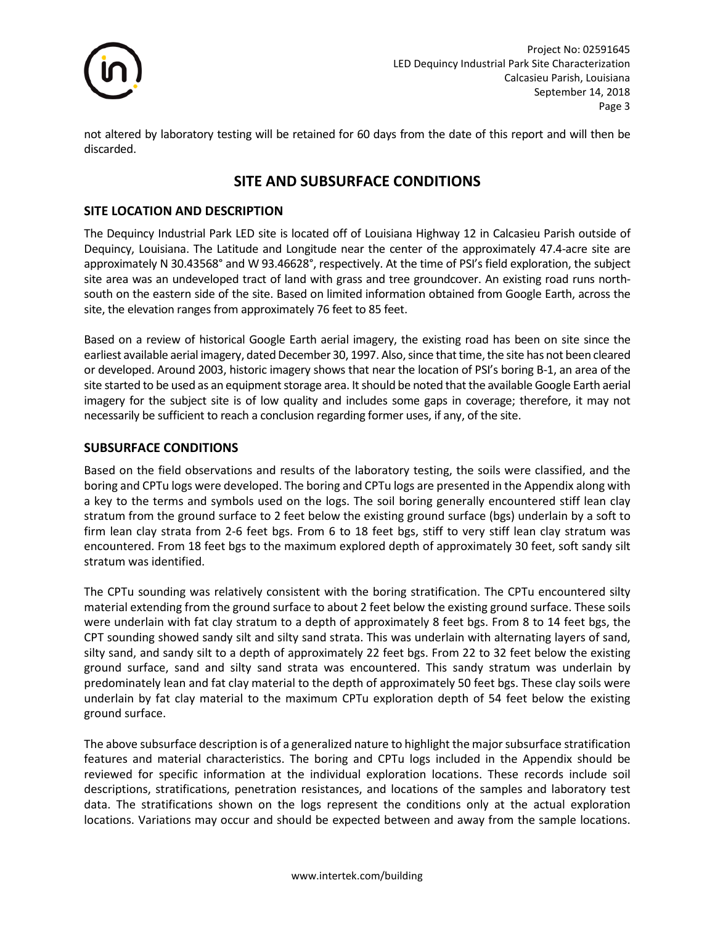

not altered by laboratory testing will be retained for 60 days from the date of this report and will then be discarded.

### **SITE AND SUBSURFACE CONDITIONS**

### <span id="page-5-1"></span><span id="page-5-0"></span>**SITE LOCATION AND DESCRIPTION**

The Dequincy Industrial Park LED site is located off of Louisiana Highway 12 in Calcasieu Parish outside of Dequincy, Louisiana. The Latitude and Longitude near the center of the approximately 47.4-acre site are approximately N 30.43568° and W 93.46628°, respectively. At the time of PSI's field exploration, the subject site area was an undeveloped tract of land with grass and tree groundcover. An existing road runs northsouth on the eastern side of the site. Based on limited information obtained from Google Earth, across the site, the elevation ranges from approximately 76 feet to 85 feet.

Based on a review of historical Google Earth aerial imagery, the existing road has been on site since the earliest available aerial imagery, dated December 30, 1997. Also, since that time, the site has not been cleared or developed. Around 2003, historic imagery shows that near the location of PSI's boring B-1, an area of the site started to be used as an equipment storage area. It should be noted that the available Google Earth aerial imagery for the subject site is of low quality and includes some gaps in coverage; therefore, it may not necessarily be sufficient to reach a conclusion regarding former uses, if any, of the site.

#### <span id="page-5-2"></span>**SUBSURFACE CONDITIONS**

Based on the field observations and results of the laboratory testing, the soils were classified, and the boring and CPTu logs were developed. The boring and CPTu logs are presented in the Appendix along with a key to the terms and symbols used on the logs. The soil boring generally encountered stiff lean clay stratum from the ground surface to 2 feet below the existing ground surface (bgs) underlain by a soft to firm lean clay strata from 2-6 feet bgs. From 6 to 18 feet bgs, stiff to very stiff lean clay stratum was encountered. From 18 feet bgs to the maximum explored depth of approximately 30 feet, soft sandy silt stratum was identified.

The CPTu sounding was relatively consistent with the boring stratification. The CPTu encountered silty material extending from the ground surface to about 2 feet below the existing ground surface. These soils were underlain with fat clay stratum to a depth of approximately 8 feet bgs. From 8 to 14 feet bgs, the CPT sounding showed sandy silt and silty sand strata. This was underlain with alternating layers of sand, silty sand, and sandy silt to a depth of approximately 22 feet bgs. From 22 to 32 feet below the existing ground surface, sand and silty sand strata was encountered. This sandy stratum was underlain by predominately lean and fat clay material to the depth of approximately 50 feet bgs. These clay soils were underlain by fat clay material to the maximum CPTu exploration depth of 54 feet below the existing ground surface.

The above subsurface description is of a generalized nature to highlight the major subsurface stratification features and material characteristics. The boring and CPTu logs included in the Appendix should be reviewed for specific information at the individual exploration locations. These records include soil descriptions, stratifications, penetration resistances, and locations of the samples and laboratory test data. The stratifications shown on the logs represent the conditions only at the actual exploration locations. Variations may occur and should be expected between and away from the sample locations.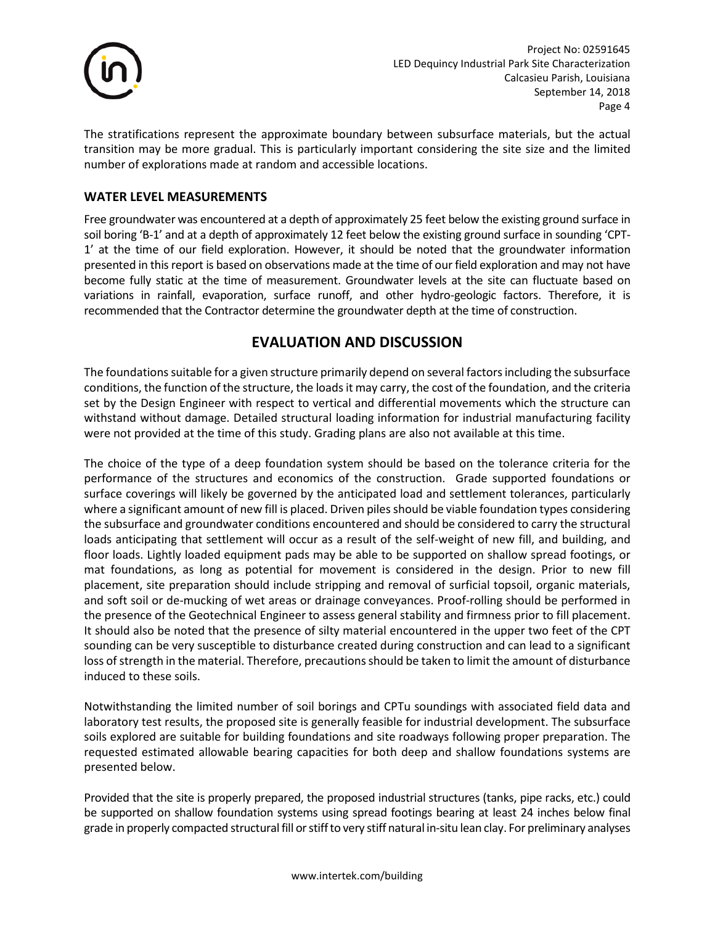

The stratifications represent the approximate boundary between subsurface materials, but the actual transition may be more gradual. This is particularly important considering the site size and the limited number of explorations made at random and accessible locations.

### <span id="page-6-0"></span>**WATER LEVEL MEASUREMENTS**

Free groundwater was encountered at a depth of approximately 25 feet below the existing ground surface in soil boring 'B-1' and at a depth of approximately 12 feet below the existing ground surface in sounding 'CPT-1' at the time of our field exploration. However, it should be noted that the groundwater information presented in this report is based on observations made at the time of our field exploration and may not have become fully static at the time of measurement. Groundwater levels at the site can fluctuate based on variations in rainfall, evaporation, surface runoff, and other hydro-geologic factors. Therefore, it is recommended that the Contractor determine the groundwater depth at the time of construction.

### **EVALUATION AND DISCUSSION**

<span id="page-6-1"></span>The foundations suitable for a given structure primarily depend on several factors including the subsurface conditions, the function of the structure, the loads it may carry, the cost of the foundation, and the criteria set by the Design Engineer with respect to vertical and differential movements which the structure can withstand without damage. Detailed structural loading information for industrial manufacturing facility were not provided at the time of this study. Grading plans are also not available at this time.

The choice of the type of a deep foundation system should be based on the tolerance criteria for the performance of the structures and economics of the construction. Grade supported foundations or surface coverings will likely be governed by the anticipated load and settlement tolerances, particularly where a significant amount of new fill is placed. Driven piles should be viable foundation types considering the subsurface and groundwater conditions encountered and should be considered to carry the structural loads anticipating that settlement will occur as a result of the self-weight of new fill, and building, and floor loads. Lightly loaded equipment pads may be able to be supported on shallow spread footings, or mat foundations, as long as potential for movement is considered in the design. Prior to new fill placement, site preparation should include stripping and removal of surficial topsoil, organic materials, and soft soil or de-mucking of wet areas or drainage conveyances. Proof-rolling should be performed in the presence of the Geotechnical Engineer to assess general stability and firmness prior to fill placement. It should also be noted that the presence of silty material encountered in the upper two feet of the CPT sounding can be very susceptible to disturbance created during construction and can lead to a significant loss of strength in the material. Therefore, precautions should be taken to limit the amount of disturbance induced to these soils.

Notwithstanding the limited number of soil borings and CPTu soundings with associated field data and laboratory test results, the proposed site is generally feasible for industrial development. The subsurface soils explored are suitable for building foundations and site roadways following proper preparation. The requested estimated allowable bearing capacities for both deep and shallow foundations systems are presented below.

Provided that the site is properly prepared, the proposed industrial structures (tanks, pipe racks, etc.) could be supported on shallow foundation systems using spread footings bearing at least 24 inches below final grade in properly compacted structural fill orstiff to very stiff natural in-situ lean clay. For preliminary analyses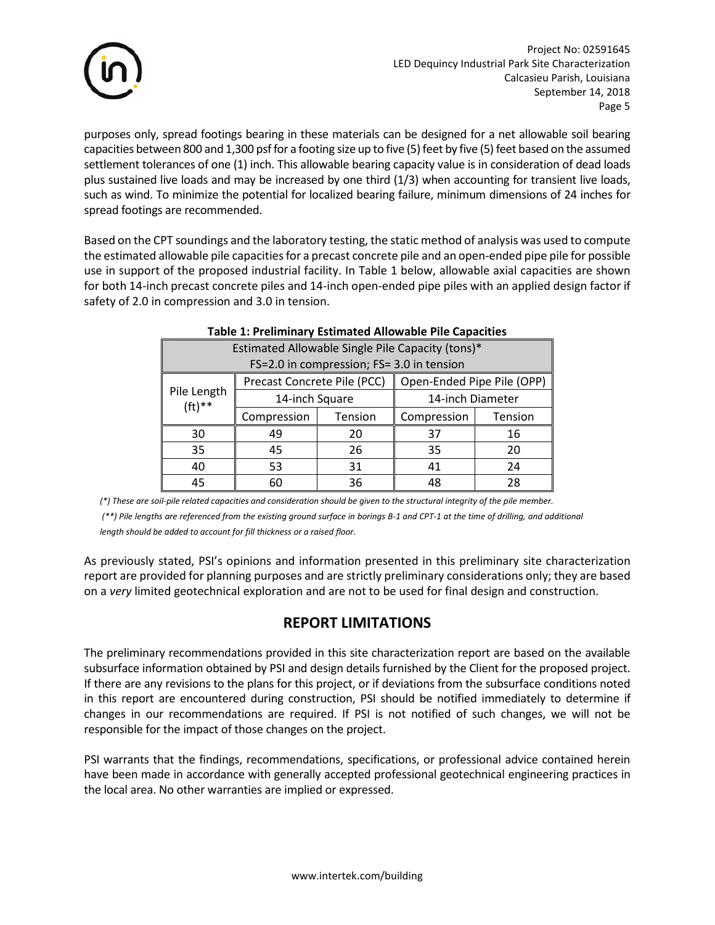

purposes only, spread footings bearing in these materials can be designed for a net allowable soil bearing capacities between 800 and 1,300 psf for a footing size up to five (5) feet by five (5) feet based on the assumed settlement tolerances of one (1) inch. This allowable bearing capacity value is in consideration of dead loads plus sustained live loads and may be increased by one third (1/3) when accounting for transient live loads, such as wind. To minimize the potential for localized bearing failure, minimum dimensions of 24 inches for spread footings are recommended.

Based on the CPT soundings and the laboratory testing, the static method of analysis was used to compute the estimated allowable pile capacities for a precast concrete pile and an open-ended pipe pile for possible use in support of the proposed industrial facility. In Table 1 below, allowable axial capacities are shown for both 14-inch precast concrete piles and 14-inch open-ended pipe piles with an applied design factor if safety of 2.0 in compression and 3.0 in tension.

| Table 1. I Temminary Estimated Anowable I ne capacities |                             |         |                            |         |  |  |  |  |  |
|---------------------------------------------------------|-----------------------------|---------|----------------------------|---------|--|--|--|--|--|
| Estimated Allowable Single Pile Capacity (tons)*        |                             |         |                            |         |  |  |  |  |  |
| FS=2.0 in compression; FS= 3.0 in tension               |                             |         |                            |         |  |  |  |  |  |
| Pile Length<br>$(ft)$ **                                | Precast Concrete Pile (PCC) |         | Open-Ended Pipe Pile (OPP) |         |  |  |  |  |  |
|                                                         | 14-inch Square              |         | 14-inch Diameter           |         |  |  |  |  |  |
|                                                         | Compression                 | Tension | Compression                | Tension |  |  |  |  |  |
| 30                                                      | 49                          | 20      | 37                         | 16      |  |  |  |  |  |
| 35                                                      | 45                          | 26      | 35                         | 20      |  |  |  |  |  |
| 40                                                      | 53                          | 31      | 41                         | 24      |  |  |  |  |  |
| 45                                                      | 60                          | 36      | 48                         | 28      |  |  |  |  |  |

#### **Table 1: Preliminary Estimated Allowable Pile Capacities**

*(\*) These are soil-pile related capacities and consideration should be given to the structural integrity of the pile member.*

*(\*\*) Pile lengths are referenced from the existing ground surface in borings B-1 and CPT-1 at the time of drilling, and additional length should be added to account for fill thickness or a raised floor.*

As previously stated, PSI's opinions and information presented in this preliminary site characterization report are provided for planning purposes and are strictly preliminary considerations only; they are based on a *very* limited geotechnical exploration and are not to be used for final design and construction.

### **REPORT LIMITATIONS**

<span id="page-7-0"></span>The preliminary recommendations provided in this site characterization report are based on the available subsurface information obtained by PSI and design details furnished by the Client for the proposed project. If there are any revisions to the plans for this project, or if deviations from the subsurface conditions noted in this report are encountered during construction, PSI should be notified immediately to determine if changes in our recommendations are required. If PSI is not notified of such changes, we will not be responsible for the impact of those changes on the project.

PSI warrants that the findings, recommendations, specifications, or professional advice contained herein have been made in accordance with generally accepted professional geotechnical engineering practices in the local area. No other warranties are implied or expressed.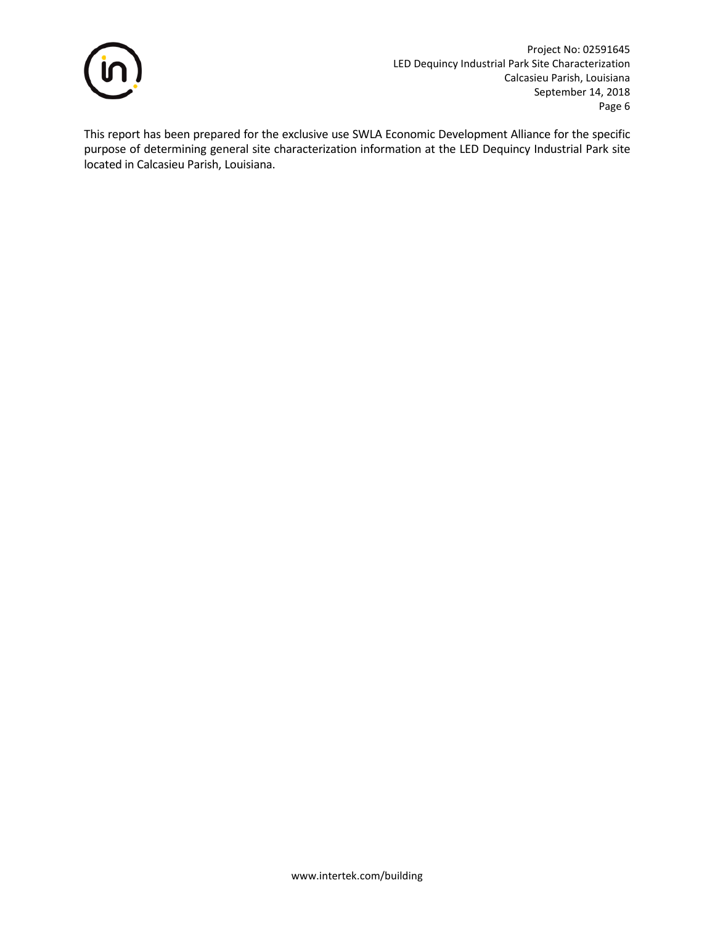

Project No: 02591645 LED Dequincy Industrial Park Site Characterization Calcasieu Parish, Louisiana September 14, 2018 Page 6

This report has been prepared for the exclusive use SWLA Economic Development Alliance for the specific purpose of determining general site characterization information at the LED Dequincy Industrial Park site located in Calcasieu Parish, Louisiana.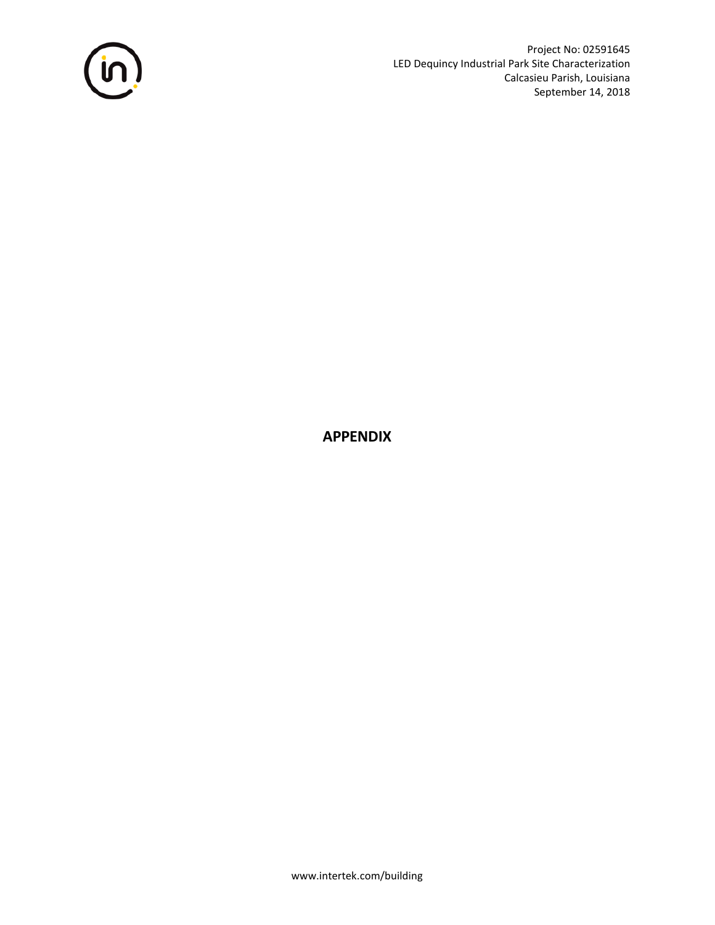Project No: 02591645 LED Dequincy Industrial Park Site Characterization Calcasieu Parish, Louisiana September 14, 2018



**APPENDIX**

www.intertek.com/building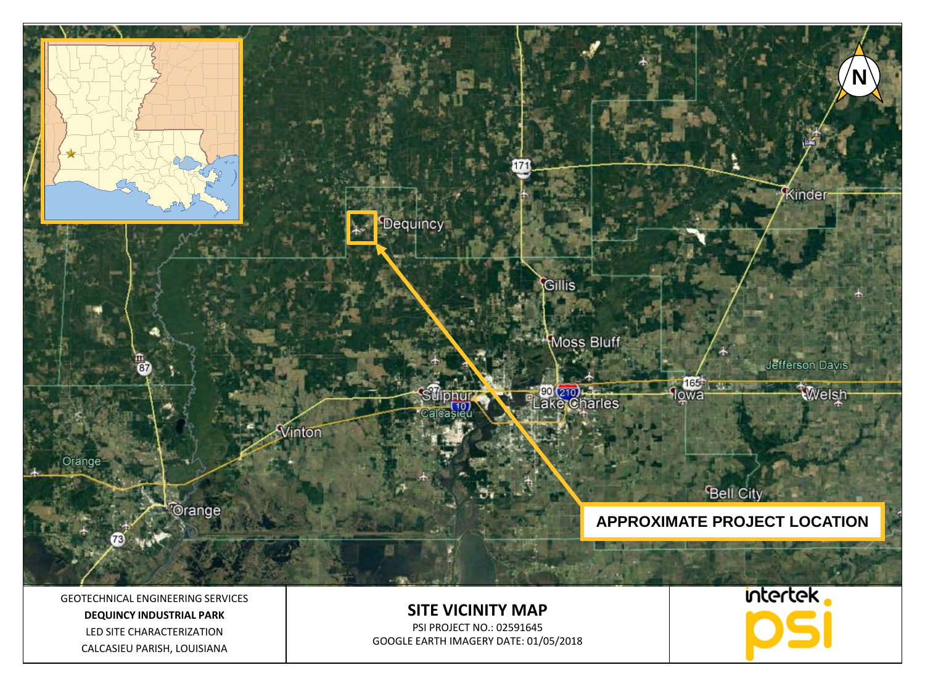

PSI PROJECT NO.: 02591645 GOOGLE EARTH IMAGERY DATE: 01/05/2018

CALCASIEU PARISH, LOUISIANA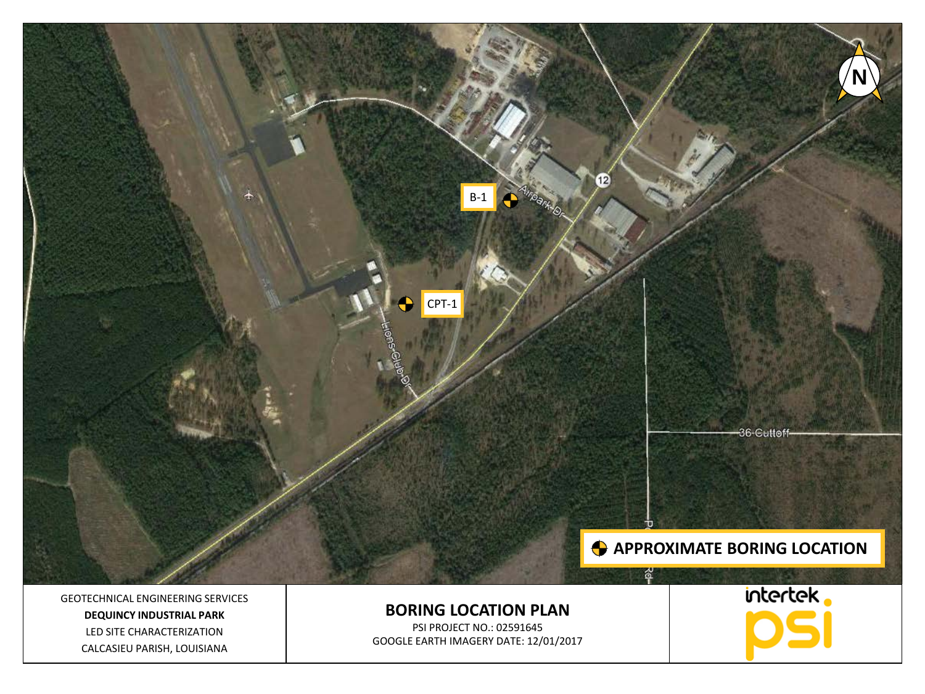

GEOTECHNICAL ENGINEERING SERVICES **DEQUINCY INDUSTRIAL PARK**  LED SITE CHARACTERIZATION CALCASIEU PARISH, LOUISIANA

### **BORING LOCATION PLAN**

PSI PROJECT NO.: 02591645 GOOGLE EARTH IMAGERY DATE: 12/01/2017 intertek.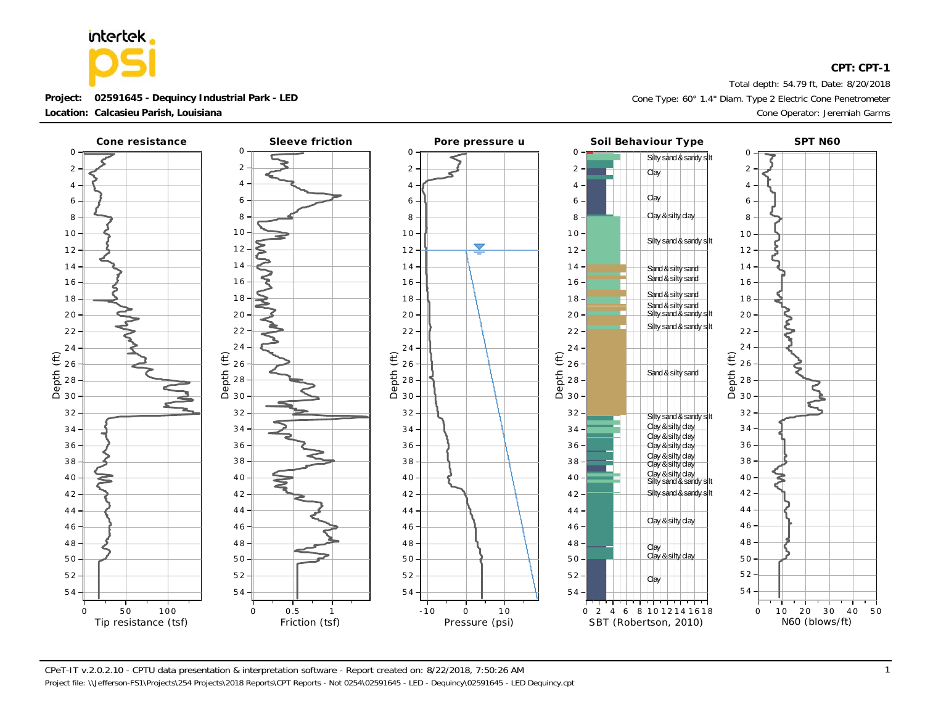**intertek** 

#### **Project: 02591645 - Dequincy Industrial Park - LED Calcasieu Parish, Louisiana Location:**

Total depth: 54.79 ft, Date: 8/20/2018 Cone Type: 60° 1.4" Diam. Type 2 Electric Cone Penetrometer Cone Operator: Jeremiah Garms



## **CPT: CPT-1**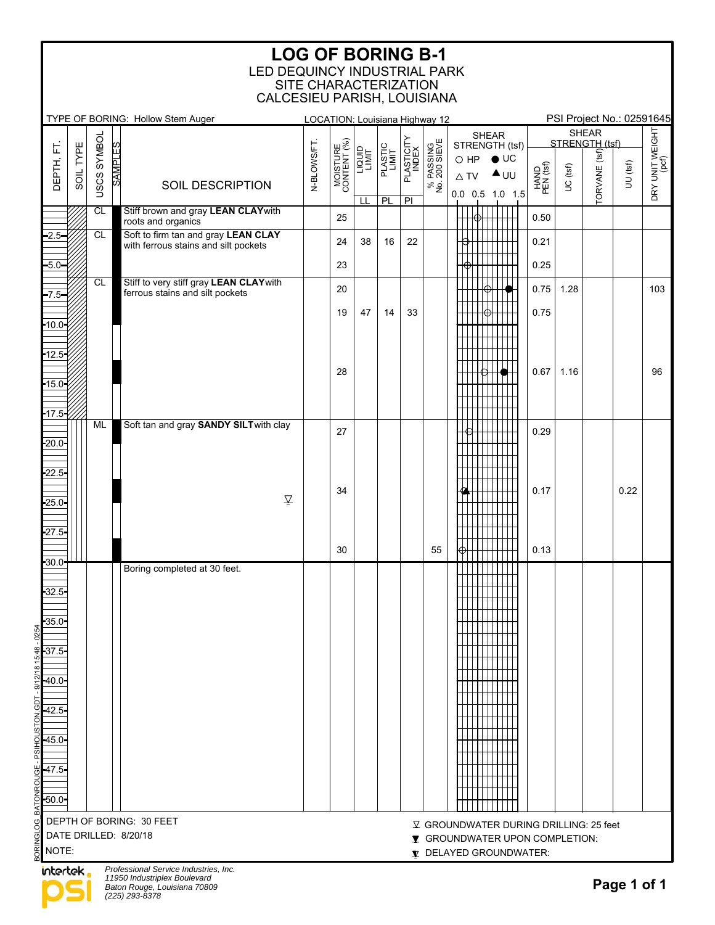### LED DEQUINCY INDUSTRIAL PARK SITE CHARACTERIZATION CALCESIEU PARISH, LOUISIANA **LOG OF BORING B-1**

| TYPE OF BORING: Hollow Stem Auger                                                                                                                              |             | LOCATION: Louisiana Highway 12 |                                                               |                  |                     |                            |                                                                                                     |                                     |              | PSI Project No.: 02591645            |
|----------------------------------------------------------------------------------------------------------------------------------------------------------------|-------------|--------------------------------|---------------------------------------------------------------|------------------|---------------------|----------------------------|-----------------------------------------------------------------------------------------------------|-------------------------------------|--------------|--------------------------------------|
| SYMBOL<br>$\mathbb{E}$<br>SOIL TYPE<br><b>SAMPLES</b><br><b>DEPTH,</b><br>USCS<br>SOIL DESCRIPTION                                                             | N-BLOWS/FT. | MOISTURE<br>CONTENT (%)        | $\begin{array}{c}\n\text{LQUID} \\ \text{LIMIT}\n\end{array}$ | PLASTIC<br>LIMIT | PLASTICITY<br>INDEX | % PASSING<br>No. 200 SIEVE | <b>SHEAR</b><br>STRENGTH (tsf)<br>$\bigcirc$ HP<br>$\bullet$ UC<br>$\triangle$ UU<br>$\triangle$ TV | STRENGTH (tsf)<br>HAND<br>PEN (tsf) | <b>SHEAR</b> | DRY UNIT WEIGHT<br>(pcf)<br>UU (tsf) |
| CL<br>Stiff brown and gray LEAN CLAYwith                                                                                                                       |             |                                | LL                                                            | PL               | $\overline{PI}$     |                            | $0.0$ 0.5 1.0 1.5                                                                                   |                                     |              |                                      |
| roots and organics                                                                                                                                             |             | 25                             |                                                               |                  |                     |                            |                                                                                                     | 0.50                                |              |                                      |
| Soft to firm tan and gray LEAN CLAY<br>CL<br>$-2.5-$<br>with ferrous stains and silt pockets                                                                   |             | 24                             | 38                                                            | 16               | 22                  |                            |                                                                                                     | 0.21                                |              |                                      |
| $-5.0-$<br>Stiff to very stiff gray LEAN CLAYwith<br>CL                                                                                                        |             | 23<br>20                       |                                                               |                  |                     |                            |                                                                                                     | 0.25<br>0.75<br>1.28                |              | 103                                  |
| ferrous stains and silt pockets<br>$-7.5-$                                                                                                                     |             | 19                             | 47                                                            | 14               | 33                  |                            |                                                                                                     | 0.75                                |              |                                      |
| $-10.0 -$                                                                                                                                                      |             |                                |                                                               |                  |                     |                            |                                                                                                     |                                     |              |                                      |
| $12.5 -$                                                                                                                                                       |             |                                |                                                               |                  |                     |                            |                                                                                                     | 0.67                                |              | 96                                   |
| $15.0 +$                                                                                                                                                       |             | 28                             |                                                               |                  |                     |                            |                                                                                                     | 1.16                                |              |                                      |
| $-17.5\frac{1}{2}$<br>Soft tan and gray SANDY SILT with clay<br><b>ML</b>                                                                                      |             |                                |                                                               |                  |                     |                            |                                                                                                     |                                     |              |                                      |
| $-20.0 -$                                                                                                                                                      |             | 27                             |                                                               |                  |                     |                            |                                                                                                     | 0.29                                |              |                                      |
| $22.5 -$                                                                                                                                                       |             |                                |                                                               |                  |                     |                            |                                                                                                     |                                     |              |                                      |
| $\overline{\mathcal{L}}$<br>$25.0 -$                                                                                                                           |             | 34                             |                                                               |                  |                     |                            |                                                                                                     | 0.17                                |              | 0.22                                 |
| $-27.5-$                                                                                                                                                       |             |                                |                                                               |                  |                     |                            |                                                                                                     |                                     |              |                                      |
| $-30.0 -$                                                                                                                                                      |             | 30                             |                                                               |                  |                     | 55                         |                                                                                                     | 0.13                                |              |                                      |
| Boring completed at 30 feet.                                                                                                                                   |             |                                |                                                               |                  |                     |                            |                                                                                                     |                                     |              |                                      |
| $32.5 -$                                                                                                                                                       |             |                                |                                                               |                  |                     |                            |                                                                                                     |                                     |              |                                      |
| $\frac{1}{8}$                                                                                                                                                  |             |                                |                                                               |                  |                     |                            |                                                                                                     |                                     |              |                                      |
|                                                                                                                                                                |             |                                |                                                               |                  |                     |                            |                                                                                                     |                                     |              |                                      |
| $\frac{48}{15}$<br>$\frac{40.0}{10}$                                                                                                                           |             |                                |                                                               |                  |                     |                            |                                                                                                     |                                     |              |                                      |
| 42.5                                                                                                                                                           |             |                                |                                                               |                  |                     |                            |                                                                                                     |                                     |              |                                      |
| - PSIHOUSTON.GDT                                                                                                                                               |             |                                |                                                               |                  |                     |                            |                                                                                                     |                                     |              |                                      |
| 45.0                                                                                                                                                           |             |                                |                                                               |                  |                     |                            |                                                                                                     |                                     |              |                                      |
| 47.5                                                                                                                                                           |             |                                |                                                               |                  |                     |                            |                                                                                                     |                                     |              |                                      |
| $-50.0$                                                                                                                                                        |             |                                |                                                               |                  |                     |                            |                                                                                                     |                                     |              |                                      |
| BORINGLOG_BATONROUGE<br>DEPTH OF BORING: 30 FEET<br>$\sqrt{2}$ GROUNDWATER DURING DRILLING: 25 feet<br>DATE DRILLED: 8/20/18<br>▼ GROUNDWATER UPON COMPLETION: |             |                                |                                                               |                  |                     |                            |                                                                                                     |                                     |              |                                      |
| NOTE:<br>L DELAYED GROUNDWATER:                                                                                                                                |             |                                |                                                               |                  |                     |                            |                                                                                                     |                                     |              |                                      |